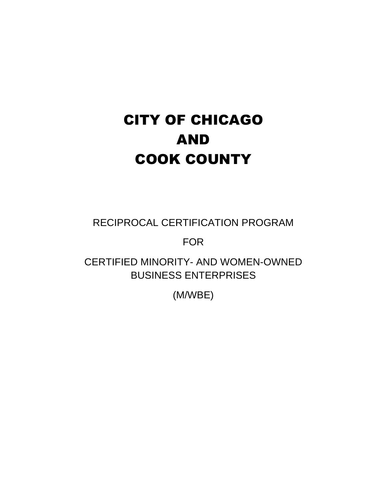# CITY OF CHICAGO AND COOK COUNTY

RECIPROCAL CERTIFICATION PROGRAM

FOR

CERTIFIED MINORITY- AND WOMEN-OWNED BUSINESS ENTERPRISES

(M/WBE)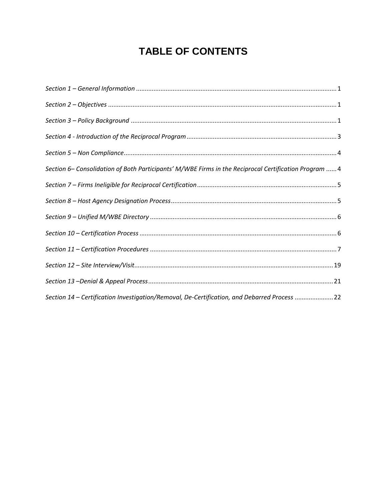# **TABLE OF CONTENTS**

| Section 6- Consolidation of Both Participants' M/WBE Firms in the Reciprocal Certification Program  4 |
|-------------------------------------------------------------------------------------------------------|
|                                                                                                       |
|                                                                                                       |
|                                                                                                       |
|                                                                                                       |
|                                                                                                       |
|                                                                                                       |
|                                                                                                       |
| Section 14 - Certification Investigation/Removal, De-Certification, and Debarred Process 22           |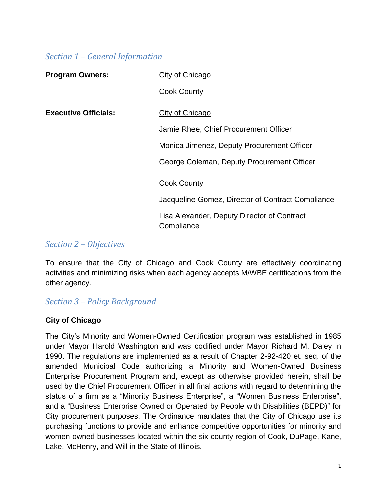#### <span id="page-2-0"></span>*Section 1 – General Information*

| <b>Program Owners:</b>      | City of Chicago                                           |
|-----------------------------|-----------------------------------------------------------|
|                             | <b>Cook County</b>                                        |
| <b>Executive Officials:</b> | City of Chicago                                           |
|                             | Jamie Rhee, Chief Procurement Officer                     |
|                             | Monica Jimenez, Deputy Procurement Officer                |
|                             | George Coleman, Deputy Procurement Officer                |
|                             | <b>Cook County</b>                                        |
|                             | Jacqueline Gomez, Director of Contract Compliance         |
|                             | Lisa Alexander, Deputy Director of Contract<br>Compliance |

#### <span id="page-2-1"></span>*Section 2 – Objectives*

To ensure that the City of Chicago and Cook County are effectively coordinating activities and minimizing risks when each agency accepts M/WBE certifications from the other agency.

# <span id="page-2-2"></span>*Section 3 – Policy Background*

#### **City of Chicago**

The City's Minority and Women-Owned Certification program was established in 1985 under Mayor Harold Washington and was codified under Mayor Richard M. Daley in 1990. The regulations are implemented as a result of Chapter 2-92-420 et. seq. of the amended Municipal Code authorizing a Minority and Women-Owned Business Enterprise Procurement Program and, except as otherwise provided herein, shall be used by the Chief Procurement Officer in all final actions with regard to determining the status of a firm as a "Minority Business Enterprise", a "Women Business Enterprise", and a "Business Enterprise Owned or Operated by People with Disabilities (BEPD)" for City procurement purposes. The Ordinance mandates that the City of Chicago use its purchasing functions to provide and enhance competitive opportunities for minority and women-owned businesses located within the six-county region of Cook, DuPage, Kane, Lake, McHenry, and Will in the State of Illinois.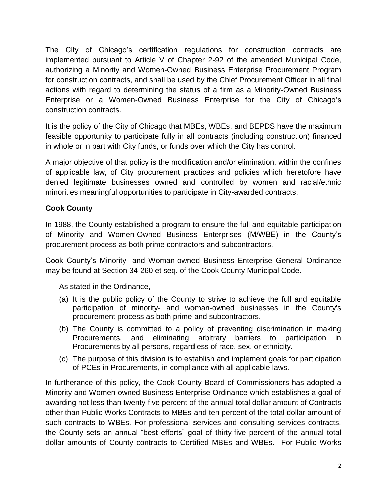The City of Chicago's certification regulations for construction contracts are implemented pursuant to Article V of Chapter 2-92 of the amended Municipal Code, authorizing a Minority and Women-Owned Business Enterprise Procurement Program for construction contracts, and shall be used by the Chief Procurement Officer in all final actions with regard to determining the status of a firm as a Minority-Owned Business Enterprise or a Women-Owned Business Enterprise for the City of Chicago's construction contracts.

It is the policy of the City of Chicago that MBEs, WBEs, and BEPDS have the maximum feasible opportunity to participate fully in all contracts (including construction) financed in whole or in part with City funds, or funds over which the City has control.

A major objective of that policy is the modification and/or elimination, within the confines of applicable law, of City procurement practices and policies which heretofore have denied legitimate businesses owned and controlled by women and racial/ethnic minorities meaningful opportunities to participate in City-awarded contracts.

#### **Cook County**

In 1988, the County established a program to ensure the full and equitable participation of Minority and Women-Owned Business Enterprises (M/WBE) in the County's procurement process as both prime contractors and subcontractors.

Cook County's Minority- and Woman-owned Business Enterprise General Ordinance may be found at Section 34-260 et seq. of the Cook County Municipal Code.

As stated in the Ordinance,

- (a) It is the public policy of the County to strive to achieve the full and equitable participation of minority- and woman-owned businesses in the County's procurement process as both prime and subcontractors.
- (b) The County is committed to a policy of preventing discrimination in making Procurements, and eliminating arbitrary barriers to participation in Procurements by all persons, regardless of race, sex, or ethnicity.
- (c) The purpose of this division is to establish and implement goals for participation of PCEs in Procurements, in compliance with all applicable laws.

In furtherance of this policy, the Cook County Board of Commissioners has adopted a Minority and Women-owned Business Enterprise Ordinance which establishes a goal of awarding not less than twenty-five percent of the annual total dollar amount of Contracts other than Public Works Contracts to MBEs and ten percent of the total dollar amount of such contracts to WBEs. For professional services and consulting services contracts, the County sets an annual "best efforts" goal of thirty-five percent of the annual total dollar amounts of County contracts to Certified MBEs and WBEs. For Public Works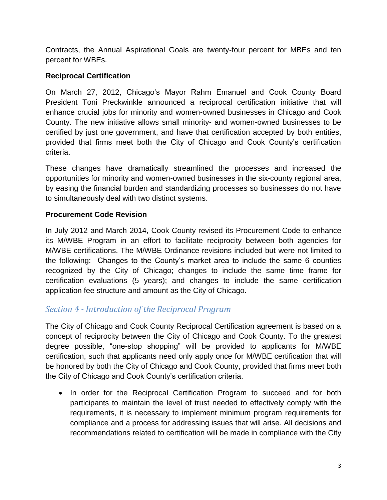Contracts, the Annual Aspirational Goals are twenty-four percent for MBEs and ten percent for WBEs.

#### **Reciprocal Certification**

On March 27, 2012, Chicago's Mayor Rahm Emanuel and Cook County Board President Toni Preckwinkle announced a reciprocal certification initiative that will enhance crucial jobs for minority and women-owned businesses in Chicago and Cook County. The new initiative allows small minority- and women-owned businesses to be certified by just one government, and have that certification accepted by both entities, provided that firms meet both the City of Chicago and Cook County's certification criteria.

These changes have dramatically streamlined the processes and increased the opportunities for minority and women-owned businesses in the six-county regional area, by easing the financial burden and standardizing processes so businesses do not have to simultaneously deal with two distinct systems.

#### **Procurement Code Revision**

In July 2012 and March 2014, Cook County revised its Procurement Code to enhance its M/WBE Program in an effort to facilitate reciprocity between both agencies for M/WBE certifications. The M/WBE Ordinance revisions included but were not limited to the following: Changes to the County's market area to include the same 6 counties recognized by the City of Chicago; changes to include the same time frame for certification evaluations (5 years); and changes to include the same certification application fee structure and amount as the City of Chicago.

# <span id="page-4-0"></span>*Section 4 - Introduction of the Reciprocal Program*

The City of Chicago and Cook County Reciprocal Certification agreement is based on a concept of reciprocity between the City of Chicago and Cook County. To the greatest degree possible, "one-stop shopping" will be provided to applicants for M/WBE certification, such that applicants need only apply once for M/WBE certification that will be honored by both the City of Chicago and Cook County, provided that firms meet both the City of Chicago and Cook County's certification criteria.

• In order for the Reciprocal Certification Program to succeed and for both participants to maintain the level of trust needed to effectively comply with the requirements, it is necessary to implement minimum program requirements for compliance and a process for addressing issues that will arise. All decisions and recommendations related to certification will be made in compliance with the City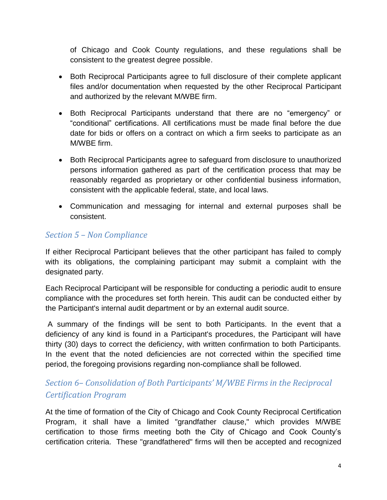of Chicago and Cook County regulations, and these regulations shall be consistent to the greatest degree possible.

- Both Reciprocal Participants agree to full disclosure of their complete applicant files and/or documentation when requested by the other Reciprocal Participant and authorized by the relevant M/WBE firm.
- Both Reciprocal Participants understand that there are no "emergency" or "conditional" certifications. All certifications must be made final before the due date for bids or offers on a contract on which a firm seeks to participate as an M/WBE firm.
- Both Reciprocal Participants agree to safeguard from disclosure to unauthorized persons information gathered as part of the certification process that may be reasonably regarded as proprietary or other confidential business information, consistent with the applicable federal, state, and local laws.
- Communication and messaging for internal and external purposes shall be consistent.

# <span id="page-5-0"></span>*Section 5 – Non Compliance*

If either Reciprocal Participant believes that the other participant has failed to comply with its obligations, the complaining participant may submit a complaint with the designated party.

Each Reciprocal Participant will be responsible for conducting a periodic audit to ensure compliance with the procedures set forth herein. This audit can be conducted either by the Participant's internal audit department or by an external audit source.

A summary of the findings will be sent to both Participants. In the event that a deficiency of any kind is found in a Participant's procedures, the Participant will have thirty (30) days to correct the deficiency, with written confirmation to both Participants. In the event that the noted deficiencies are not corrected within the specified time period, the foregoing provisions regarding non-compliance shall be followed.

# <span id="page-5-1"></span>*Section 6– Consolidation of Both Participants' M/WBE Firms in the Reciprocal Certification Program*

At the time of formation of the City of Chicago and Cook County Reciprocal Certification Program, it shall have a limited "grandfather clause," which provides M/WBE certification to those firms meeting both the City of Chicago and Cook County's certification criteria. These "grandfathered" firms will then be accepted and recognized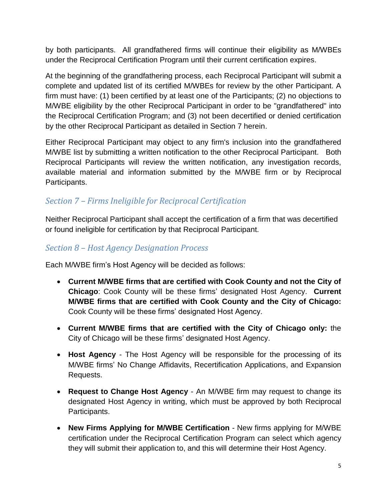by both participants. All grandfathered firms will continue their eligibility as M/WBEs under the Reciprocal Certification Program until their current certification expires.

At the beginning of the grandfathering process, each Reciprocal Participant will submit a complete and updated list of its certified M/WBEs for review by the other Participant. A firm must have: (1) been certified by at least one of the Participants; (2) no objections to M/WBE eligibility by the other Reciprocal Participant in order to be "grandfathered" into the Reciprocal Certification Program; and (3) not been decertified or denied certification by the other Reciprocal Participant as detailed in Section 7 herein.

Either Reciprocal Participant may object to any firm's inclusion into the grandfathered M/WBE list by submitting a written notification to the other Reciprocal Participant. Both Reciprocal Participants will review the written notification, any investigation records, available material and information submitted by the M/WBE firm or by Reciprocal Participants.

# <span id="page-6-0"></span>*Section 7 – Firms Ineligible for Reciprocal Certification*

Neither Reciprocal Participant shall accept the certification of a firm that was decertified or found ineligible for certification by that Reciprocal Participant.

#### <span id="page-6-1"></span>*Section 8 – Host Agency Designation Process*

Each M/WBE firm's Host Agency will be decided as follows:

- **Current M/WBE firms that are certified with Cook County and not the City of Chicago**: Cook County will be these firms' designated Host Agency. **Current M/WBE firms that are certified with Cook County and the City of Chicago:** Cook County will be these firms' designated Host Agency.
- **Current M/WBE firms that are certified with the City of Chicago only:** the City of Chicago will be these firms' designated Host Agency.
- **Host Agency** The Host Agency will be responsible for the processing of its M/WBE firms' No Change Affidavits, Recertification Applications, and Expansion Requests.
- **Request to Change Host Agency** An M/WBE firm may request to change its designated Host Agency in writing, which must be approved by both Reciprocal Participants.
- **New Firms Applying for M/WBE Certification** New firms applying for M/WBE certification under the Reciprocal Certification Program can select which agency they will submit their application to, and this will determine their Host Agency.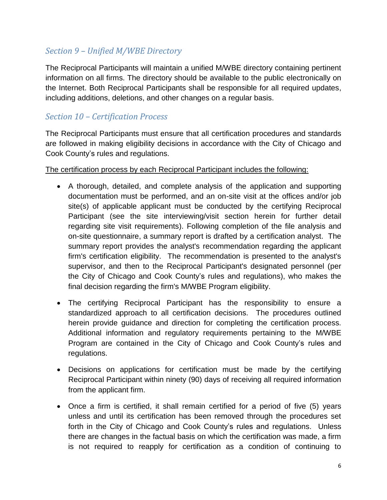# <span id="page-7-0"></span>*Section 9 – Unified M/WBE Directory*

The Reciprocal Participants will maintain a unified M/WBE directory containing pertinent information on all firms. The directory should be available to the public electronically on the Internet. Both Reciprocal Participants shall be responsible for all required updates, including additions, deletions, and other changes on a regular basis.

#### <span id="page-7-1"></span>*Section 10 – Certification Process*

The Reciprocal Participants must ensure that all certification procedures and standards are followed in making eligibility decisions in accordance with the City of Chicago and Cook County's rules and regulations.

#### The certification process by each Reciprocal Participant includes the following:

- A thorough, detailed, and complete analysis of the application and supporting documentation must be performed, and an on-site visit at the offices and/or job site(s) of applicable applicant must be conducted by the certifying Reciprocal Participant (see the site interviewing/visit section herein for further detail regarding site visit requirements). Following completion of the file analysis and on-site questionnaire, a summary report is drafted by a certification analyst. The summary report provides the analyst's recommendation regarding the applicant firm's certification eligibility. The recommendation is presented to the analyst's supervisor, and then to the Reciprocal Participant's designated personnel (per the City of Chicago and Cook County's rules and regulations), who makes the final decision regarding the firm's M/WBE Program eligibility.
- The certifying Reciprocal Participant has the responsibility to ensure a standardized approach to all certification decisions. The procedures outlined herein provide guidance and direction for completing the certification process. Additional information and regulatory requirements pertaining to the M/WBE Program are contained in the City of Chicago and Cook County's rules and regulations.
- Decisions on applications for certification must be made by the certifying Reciprocal Participant within ninety (90) days of receiving all required information from the applicant firm.
- Once a firm is certified, it shall remain certified for a period of five (5) years unless and until its certification has been removed through the procedures set forth in the City of Chicago and Cook County's rules and regulations. Unless there are changes in the factual basis on which the certification was made, a firm is not required to reapply for certification as a condition of continuing to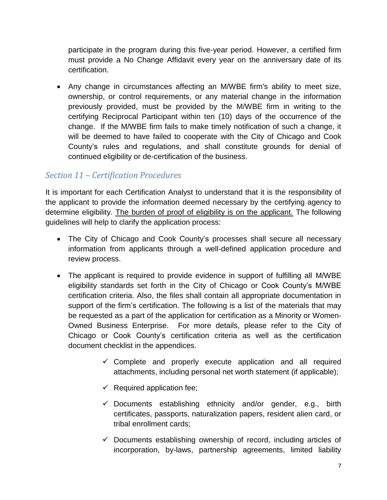participate in the program during this five-year period. However, a certified firm must provide a No Change Affidavit every year on the anniversary date of its certification.

 Any change in circumstances affecting an M/WBE firm's ability to meet size, ownership, or control requirements, or any material change in the information previously provided, must be provided by the M/WBE firm in writing to the certifying Reciprocal Participant within ten (10) days of the occurrence of the change. If the M/WBE firm fails to make timely notification of such a change, it will be deemed to have failed to cooperate with the City of Chicago and Cook County's rules and regulations, and shall constitute grounds for denial of continued eligibility or de-certification of the business.

# <span id="page-8-0"></span>*Section 11 – Certification Procedures*

It is important for each Certification Analyst to understand that it is the responsibility of the applicant to provide the information deemed necessary by the certifying agency to determine eligibility. The burden of proof of eligibility is on the applicant. The following guidelines will help to clarify the application process:

- The City of Chicago and Cook County's processes shall secure all necessary information from applicants through a well-defined application procedure and review process.
- The applicant is required to provide evidence in support of fulfilling all M/WBE eligibility standards set forth in the City of Chicago or Cook County's M/WBE certification criteria. Also, the files shall contain all appropriate documentation in support of the firm's certification. The following is a list of the materials that may be requested as a part of the application for certification as a Minority or Women-Owned Business Enterprise. For more details, please refer to the City of Chicago or Cook County's certification criteria as well as the certification document checklist in the appendices.
	- $\checkmark$  Complete and properly execute application and all required attachments, including personal net worth statement (if applicable);
	- $\checkmark$  Required application fee;
	- $\checkmark$  Documents establishing ethnicity and/or gender, e.g., birth certificates, passports, naturalization papers, resident alien card, or tribal enrollment cards;
	- $\checkmark$  Documents establishing ownership of record, including articles of incorporation, by-laws, partnership agreements, limited liability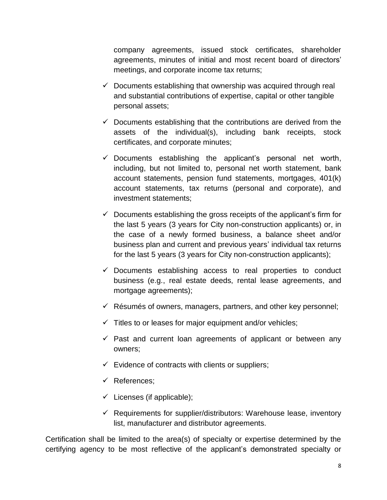company agreements, issued stock certificates, shareholder agreements, minutes of initial and most recent board of directors' meetings, and corporate income tax returns;

- $\checkmark$  Documents establishing that ownership was acquired through real and substantial contributions of expertise, capital or other tangible personal assets;
- $\checkmark$  Documents establishing that the contributions are derived from the assets of the individual(s), including bank receipts, stock certificates, and corporate minutes;
- $\checkmark$  Documents establishing the applicant's personal net worth, including, but not limited to, personal net worth statement, bank account statements, pension fund statements, mortgages, 401(k) account statements, tax returns (personal and corporate), and investment statements;
- $\checkmark$  Documents establishing the gross receipts of the applicant's firm for the last 5 years (3 years for City non-construction applicants) or, in the case of a newly formed business, a balance sheet and/or business plan and current and previous years' individual tax returns for the last 5 years (3 years for City non-construction applicants);
- $\checkmark$  Documents establishing access to real properties to conduct business (e.g., real estate deeds, rental lease agreements, and mortgage agreements);
- $\checkmark$  Résumés of owners, managers, partners, and other key personnel;
- $\checkmark$  Titles to or leases for major equipment and/or vehicles;
- $\checkmark$  Past and current loan agreements of applicant or between any owners;
- $\checkmark$  Evidence of contracts with clients or suppliers;
- $\checkmark$  References;
- $\checkmark$  Licenses (if applicable);
- $\checkmark$  Requirements for supplier/distributors: Warehouse lease, inventory list, manufacturer and distributor agreements.

Certification shall be limited to the area(s) of specialty or expertise determined by the certifying agency to be most reflective of the applicant's demonstrated specialty or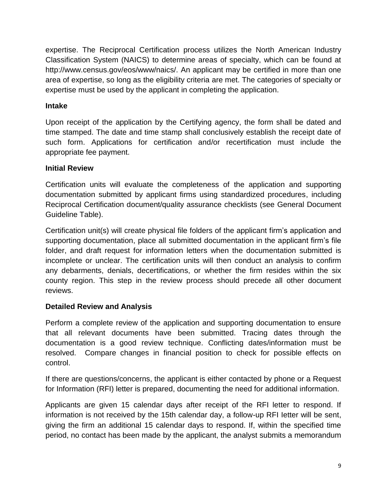expertise. The Reciprocal Certification process utilizes the North American Industry Classification System (NAICS) to determine areas of specialty, which can be found at http://www.census.gov/eos/www/naics/. An applicant may be certified in more than one area of expertise, so long as the eligibility criteria are met. The categories of specialty or expertise must be used by the applicant in completing the application.

#### **Intake**

Upon receipt of the application by the Certifying agency, the form shall be dated and time stamped. The date and time stamp shall conclusively establish the receipt date of such form. Applications for certification and/or recertification must include the appropriate fee payment.

#### **Initial Review**

Certification units will evaluate the completeness of the application and supporting documentation submitted by applicant firms using standardized procedures, including Reciprocal Certification document/quality assurance checklists (see General Document Guideline Table).

Certification unit(s) will create physical file folders of the applicant firm's application and supporting documentation, place all submitted documentation in the applicant firm's file folder, and draft request for information letters when the documentation submitted is incomplete or unclear. The certification units will then conduct an analysis to confirm any debarments, denials, decertifications, or whether the firm resides within the six county region. This step in the review process should precede all other document reviews.

#### **Detailed Review and Analysis**

Perform a complete review of the application and supporting documentation to ensure that all relevant documents have been submitted. Tracing dates through the documentation is a good review technique. Conflicting dates/information must be resolved. Compare changes in financial position to check for possible effects on control.

If there are questions/concerns, the applicant is either contacted by phone or a Request for Information (RFI) letter is prepared, documenting the need for additional information.

Applicants are given 15 calendar days after receipt of the RFI letter to respond. If information is not received by the 15th calendar day, a follow-up RFI Ietter will be sent, giving the firm an additional 15 calendar days to respond. If, within the specified time period, no contact has been made by the applicant, the analyst submits a memorandum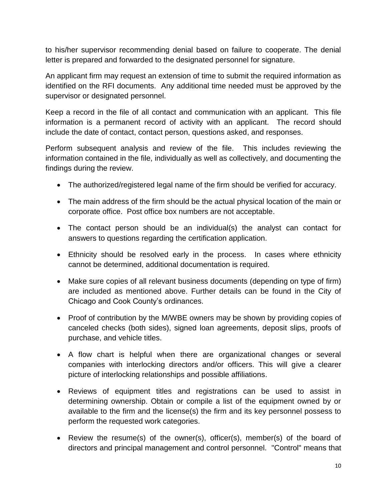to his/her supervisor recommending denial based on failure to cooperate. The denial letter is prepared and forwarded to the designated personnel for signature.

An applicant firm may request an extension of time to submit the required information as identified on the RFI documents. Any additional time needed must be approved by the supervisor or designated personnel.

Keep a record in the file of all contact and communication with an applicant. This file information is a permanent record of activity with an applicant. The record should include the date of contact, contact person, questions asked, and responses.

Perform subsequent analysis and review of the file. This includes reviewing the information contained in the file, individually as well as collectively, and documenting the findings during the review.

- The authorized/registered legal name of the firm should be verified for accuracy.
- The main address of the firm should be the actual physical location of the main or corporate office. Post office box numbers are not acceptable.
- The contact person should be an individual(s) the analyst can contact for answers to questions regarding the certification application.
- Ethnicity should be resolved early in the process. In cases where ethnicity cannot be determined, additional documentation is required.
- Make sure copies of all relevant business documents (depending on type of firm) are included as mentioned above. Further details can be found in the City of Chicago and Cook County's ordinances.
- Proof of contribution by the M/WBE owners may be shown by providing copies of canceled checks (both sides), signed loan agreements, deposit slips, proofs of purchase, and vehicle titles.
- A flow chart is helpful when there are organizational changes or several companies with interlocking directors and/or officers. This will give a clearer picture of interlocking relationships and possible affiliations.
- Reviews of equipment titles and registrations can be used to assist in determining ownership. Obtain or compile a list of the equipment owned by or available to the firm and the license(s) the firm and its key personnel possess to perform the requested work categories.
- Review the resume(s) of the owner(s), officer(s), member(s) of the board of directors and principal management and control personnel. "Control" means that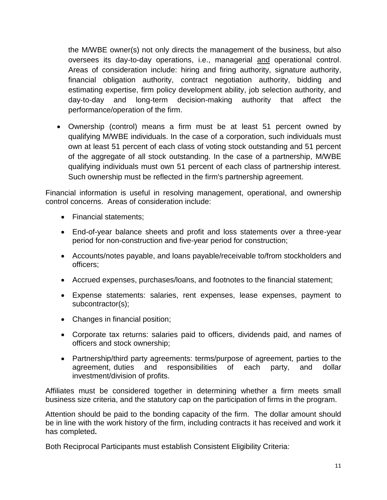the M/WBE owner(s) not only directs the management of the business, but also oversees its day-to-day operations, i.e., managerial and operational control. Areas of consideration include: hiring and firing authority, signature authority, financial obligation authority, contract negotiation authority, bidding and estimating expertise, firm policy development ability, job selection authority, and day-to-day and long-term decision-making authority that affect the performance/operation of the firm.

 Ownership (control) means a firm must be at least 51 percent owned by qualifying M/WBE individuals. In the case of a corporation, such individuals must own at least 51 percent of each class of voting stock outstanding and 51 percent of the aggregate of all stock outstanding. In the case of a partnership, M/WBE qualifying individuals must own 51 percent of each class of partnership interest. Such ownership must be reflected in the firm's partnership agreement.

Financial information is useful in resolving management, operational, and ownership control concerns. Areas of consideration include:

- Financial statements:
- End-of-year balance sheets and profit and loss statements over a three-year period for non-construction and five-year period for construction;
- Accounts/notes payable, and loans payable/receivable to/from stockholders and officers;
- Accrued expenses, purchases/loans, and footnotes to the financial statement;
- Expense statements: salaries, rent expenses, lease expenses, payment to subcontractor(s);
- Changes in financial position;
- Corporate tax returns: salaries paid to officers, dividends paid, and names of officers and stock ownership;
- Partnership/third party agreements: terms/purpose of agreement, parties to the agreement, duties and responsibilities of each party, and dollar investment/division of profits.

Affiliates must be considered together in determining whether a firm meets small business size criteria, and the statutory cap on the participation of firms in the program.

Attention should be paid to the bonding capacity of the firm. The dollar amount should be in line with the work history of the firm, including contracts it has received and work it has completed**.**

Both Reciprocal Participants must establish Consistent Eligibility Criteria: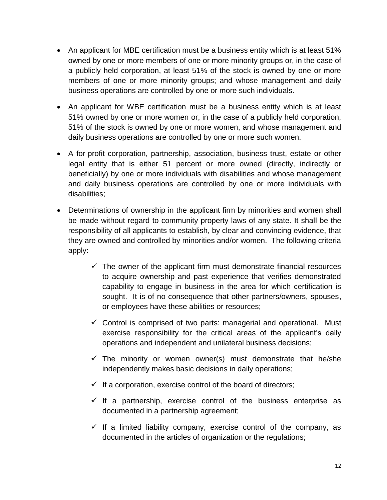- An applicant for MBE certification must be a business entity which is at least 51% owned by one or more members of one or more minority groups or, in the case of a publicly held corporation, at least 51% of the stock is owned by one or more members of one or more minority groups; and whose management and daily business operations are controlled by one or more such individuals.
- An applicant for WBE certification must be a business entity which is at least 51% owned by one or more women or, in the case of a publicly held corporation, 51% of the stock is owned by one or more women, and whose management and daily business operations are controlled by one or more such women.
- A for-profit corporation, partnership, association, business trust, estate or other legal entity that is either 51 percent or more owned (directly, indirectly or beneficially) by one or more individuals with disabilities and whose management and daily business operations are controlled by one or more individuals with disabilities;
- Determinations of ownership in the applicant firm by minorities and women shall be made without regard to community property laws of any state. It shall be the responsibility of all applicants to establish, by clear and convincing evidence, that they are owned and controlled by minorities and/or women. The following criteria apply:
	- $\checkmark$  The owner of the applicant firm must demonstrate financial resources to acquire ownership and past experience that verifies demonstrated capability to engage in business in the area for which certification is sought. It is of no consequence that other partners/owners, spouses, or employees have these abilities or resources;
	- $\checkmark$  Control is comprised of two parts: managerial and operational. Must exercise responsibility for the critical areas of the applicant's daily operations and independent and unilateral business decisions;
	- $\checkmark$  The minority or women owner(s) must demonstrate that he/she independently makes basic decisions in daily operations;
	- $\checkmark$  If a corporation, exercise control of the board of directors;
	- $\checkmark$  If a partnership, exercise control of the business enterprise as documented in a partnership agreement;
	- $\checkmark$  If a limited liability company, exercise control of the company, as documented in the articles of organization or the regulations;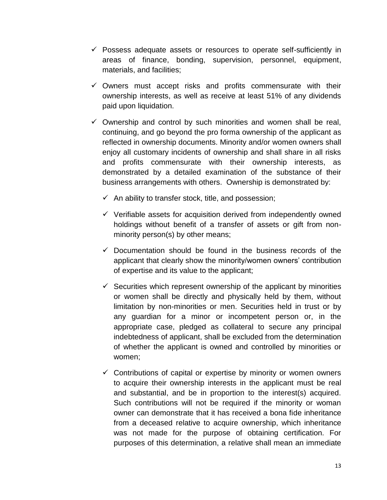- $\checkmark$  Possess adequate assets or resources to operate self-sufficiently in areas of finance, bonding, supervision, personnel, equipment, materials, and facilities;
- $\checkmark$  Owners must accept risks and profits commensurate with their ownership interests, as well as receive at least 51% of any dividends paid upon liquidation.
- $\checkmark$  Ownership and control by such minorities and women shall be real, continuing, and go beyond the pro forma ownership of the applicant as reflected in ownership documents. Minority and/or women owners shall enjoy all customary incidents of ownership and shall share in all risks and profits commensurate with their ownership interests, as demonstrated by a detailed examination of the substance of their business arrangements with others. Ownership is demonstrated by:
	- $\checkmark$  An ability to transfer stock, title, and possession;
	- $\checkmark$  Verifiable assets for acquisition derived from independently owned holdings without benefit of a transfer of assets or gift from nonminority person(s) by other means;
	- $\checkmark$  Documentation should be found in the business records of the applicant that clearly show the minority/women owners' contribution of expertise and its value to the applicant;
	- $\checkmark$  Securities which represent ownership of the applicant by minorities or women shall be directly and physically held by them, without limitation by non-minorities or men. Securities held in trust or by any guardian for a minor or incompetent person or, in the appropriate case, pledged as collateral to secure any principal indebtedness of applicant, shall be excluded from the determination of whether the applicant is owned and controlled by minorities or women;
	- $\checkmark$  Contributions of capital or expertise by minority or women owners to acquire their ownership interests in the applicant must be real and substantial, and be in proportion to the interest(s) acquired. Such contributions will not be required if the minority or woman owner can demonstrate that it has received a bona fide inheritance from a deceased relative to acquire ownership, which inheritance was not made for the purpose of obtaining certification. For purposes of this determination, a relative shall mean an immediate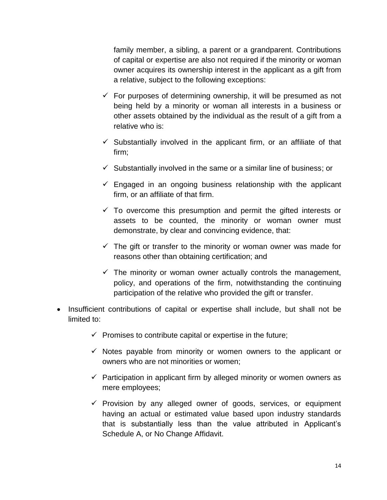family member, a sibling, a parent or a grandparent. Contributions of capital or expertise are also not required if the minority or woman owner acquires its ownership interest in the applicant as a gift from a relative, subject to the following exceptions:

- $\checkmark$  For purposes of determining ownership, it will be presumed as not being held by a minority or woman all interests in a business or other assets obtained by the individual as the result of a gift from a relative who is:
- $\checkmark$  Substantially involved in the applicant firm, or an affiliate of that firm;
- $\checkmark$  Substantially involved in the same or a similar line of business; or
- $\checkmark$  Engaged in an ongoing business relationship with the applicant firm, or an affiliate of that firm.
- $\checkmark$  To overcome this presumption and permit the gifted interests or assets to be counted, the minority or woman owner must demonstrate, by clear and convincing evidence, that:
- $\checkmark$  The gift or transfer to the minority or woman owner was made for reasons other than obtaining certification; and
- $\checkmark$  The minority or woman owner actually controls the management, policy, and operations of the firm, notwithstanding the continuing participation of the relative who provided the gift or transfer.
- Insufficient contributions of capital or expertise shall include, but shall not be limited to:
	- $\checkmark$  Promises to contribute capital or expertise in the future;
	- $\checkmark$  Notes payable from minority or women owners to the applicant or owners who are not minorities or women;
	- $\checkmark$  Participation in applicant firm by alleged minority or women owners as mere employees;
	- $\checkmark$  Provision by any alleged owner of goods, services, or equipment having an actual or estimated value based upon industry standards that is substantially less than the value attributed in Applicant's Schedule A, or No Change Affidavit.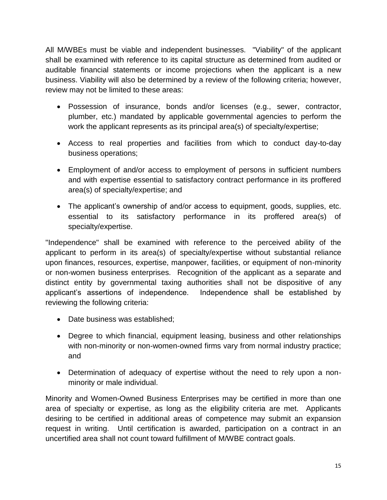All M/WBEs must be viable and independent businesses. "Viability" of the applicant shall be examined with reference to its capital structure as determined from audited or auditable financial statements or income projections when the applicant is a new business. Viability will also be determined by a review of the following criteria; however, review may not be limited to these areas:

- Possession of insurance, bonds and/or licenses (e.g., sewer, contractor, plumber, etc.) mandated by applicable governmental agencies to perform the work the applicant represents as its principal area(s) of specialty/expertise;
- Access to real properties and facilities from which to conduct day-to-day business operations;
- Employment of and/or access to employment of persons in sufficient numbers and with expertise essential to satisfactory contract performance in its proffered area(s) of specialty/expertise; and
- The applicant's ownership of and/or access to equipment, goods, supplies, etc. essential to its satisfactory performance in its proffered area(s) of specialty/expertise.

"Independence" shall be examined with reference to the perceived ability of the applicant to perform in its area(s) of specialty/expertise without substantial reliance upon finances, resources, expertise, manpower, facilities, or equipment of non-minority or non-women business enterprises. Recognition of the applicant as a separate and distinct entity by governmental taxing authorities shall not be dispositive of any applicant's assertions of independence. Independence shall be established by reviewing the following criteria:

- Date business was established;
- Degree to which financial, equipment leasing, business and other relationships with non-minority or non-women-owned firms vary from normal industry practice; and
- Determination of adequacy of expertise without the need to rely upon a nonminority or male individual.

Minority and Women-Owned Business Enterprises may be certified in more than one area of specialty or expertise, as long as the eligibility criteria are met. Applicants desiring to be certified in additional areas of competence may submit an expansion request in writing. Until certification is awarded, participation on a contract in an uncertified area shall not count toward fulfillment of M/WBE contract goals.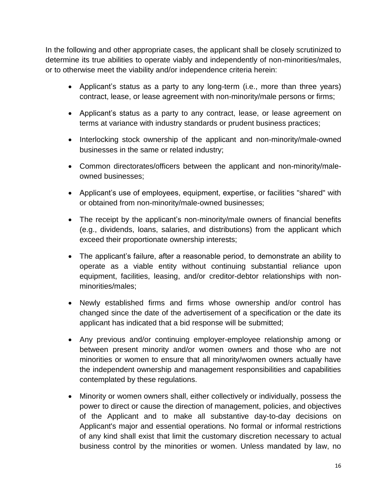In the following and other appropriate cases, the applicant shall be closely scrutinized to determine its true abilities to operate viably and independently of non-minorities/males, or to otherwise meet the viability and/or independence criteria herein:

- Applicant's status as a party to any long-term (i.e., more than three years) contract, lease, or lease agreement with non-minority/male persons or firms;
- Applicant's status as a party to any contract, lease, or lease agreement on terms at variance with industry standards or prudent business practices;
- Interlocking stock ownership of the applicant and non-minority/male-owned businesses in the same or related industry;
- Common directorates/officers between the applicant and non-minority/maleowned businesses;
- Applicant's use of employees, equipment, expertise, or facilities "shared" with or obtained from non-minority/male-owned businesses;
- The receipt by the applicant's non-minority/male owners of financial benefits (e.g., dividends, loans, salaries, and distributions) from the applicant which exceed their proportionate ownership interests;
- The applicant's failure, after a reasonable period, to demonstrate an ability to operate as a viable entity without continuing substantial reliance upon equipment, facilities, leasing, and/or creditor-debtor relationships with nonminorities/males;
- Newly established firms and firms whose ownership and/or control has changed since the date of the advertisement of a specification or the date its applicant has indicated that a bid response will be submitted;
- Any previous and/or continuing employer-employee relationship among or between present minority and/or women owners and those who are not minorities or women to ensure that all minority/women owners actually have the independent ownership and management responsibilities and capabilities contemplated by these regulations.
- Minority or women owners shall, either collectively or individually, possess the power to direct or cause the direction of management, policies, and objectives of the Applicant and to make all substantive day-to-day decisions on Applicant's major and essential operations. No formal or informal restrictions of any kind shall exist that limit the customary discretion necessary to actual business control by the minorities or women. Unless mandated by law, no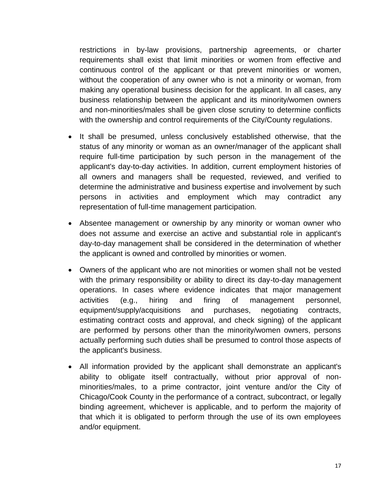restrictions in by-law provisions, partnership agreements, or charter requirements shall exist that limit minorities or women from effective and continuous control of the applicant or that prevent minorities or women, without the cooperation of any owner who is not a minority or woman, from making any operational business decision for the applicant. In all cases, any business relationship between the applicant and its minority/women owners and non-minorities/males shall be given close scrutiny to determine conflicts with the ownership and control requirements of the City/County regulations.

- It shall be presumed, unless conclusively established otherwise, that the status of any minority or woman as an owner/manager of the applicant shall require full-time participation by such person in the management of the applicant's day-to-day activities. In addition, current employment histories of all owners and managers shall be requested, reviewed, and verified to determine the administrative and business expertise and involvement by such persons in activities and employment which may contradict any representation of full-time management participation.
- Absentee management or ownership by any minority or woman owner who does not assume and exercise an active and substantial role in applicant's day-to-day management shall be considered in the determination of whether the applicant is owned and controlled by minorities or women.
- Owners of the applicant who are not minorities or women shall not be vested with the primary responsibility or ability to direct its day-to-day management operations. In cases where evidence indicates that major management activities (e.g., hiring and firing of management personnel, equipment/supply/acquisitions and purchases, negotiating contracts, estimating contract costs and approval, and check signing) of the applicant are performed by persons other than the minority/women owners, persons actually performing such duties shall be presumed to control those aspects of the applicant's business.
- All information provided by the applicant shall demonstrate an applicant's ability to obligate itself contractually, without prior approval of nonminorities/males, to a prime contractor, joint venture and/or the City of Chicago/Cook County in the performance of a contract, subcontract, or legally binding agreement, whichever is applicable, and to perform the majority of that which it is obligated to perform through the use of its own employees and/or equipment.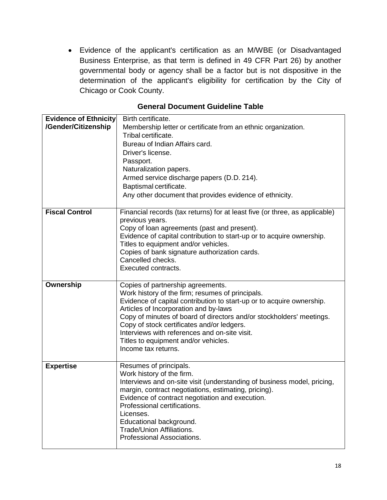Evidence of the applicant's certification as an M/WBE (or Disadvantaged Business Enterprise, as that term is defined in 49 CFR Part 26) by another governmental body or agency shall be a factor but is not dispositive in the determination of the applicant's eligibility for certification by the City of Chicago or Cook County.

| <b>Evidence of Ethnicity</b> | Birth certificate.<br>Membership letter or certificate from an ethnic organization. |  |
|------------------------------|-------------------------------------------------------------------------------------|--|
| /Gender/Citizenship          |                                                                                     |  |
|                              | Tribal certificate.                                                                 |  |
|                              | Bureau of Indian Affairs card.                                                      |  |
|                              | Driver's license.                                                                   |  |
|                              | Passport.                                                                           |  |
|                              | Naturalization papers.                                                              |  |
|                              | Armed service discharge papers (D.D. 214).                                          |  |
|                              | Baptismal certificate.                                                              |  |
|                              | Any other document that provides evidence of ethnicity.                             |  |
|                              |                                                                                     |  |
| <b>Fiscal Control</b>        | Financial records (tax returns) for at least five (or three, as applicable)         |  |
|                              | previous years.                                                                     |  |
|                              | Copy of loan agreements (past and present).                                         |  |
|                              | Evidence of capital contribution to start-up or to acquire ownership.               |  |
|                              | Titles to equipment and/or vehicles.                                                |  |
|                              | Copies of bank signature authorization cards.                                       |  |
|                              | Cancelled checks.                                                                   |  |
|                              | Executed contracts.                                                                 |  |
|                              |                                                                                     |  |
| Ownership                    | Copies of partnership agreements.                                                   |  |
|                              | Work history of the firm; resumes of principals.                                    |  |
|                              | Evidence of capital contribution to start-up or to acquire ownership.               |  |
|                              | Articles of Incorporation and by-laws                                               |  |
|                              | Copy of minutes of board of directors and/or stockholders' meetings.                |  |
|                              | Copy of stock certificates and/or ledgers.                                          |  |
|                              | Interviews with references and on-site visit.                                       |  |
|                              | Titles to equipment and/or vehicles.                                                |  |
|                              | Income tax returns.                                                                 |  |
| <b>Expertise</b>             | Resumes of principals.                                                              |  |
|                              | Work history of the firm.                                                           |  |
|                              | Interviews and on-site visit (understanding of business model, pricing,             |  |
|                              | margin, contract negotiations, estimating, pricing).                                |  |
|                              | Evidence of contract negotiation and execution.                                     |  |
|                              | Professional certifications.                                                        |  |
|                              | Licenses.                                                                           |  |
|                              | Educational background.                                                             |  |
|                              |                                                                                     |  |
|                              |                                                                                     |  |
|                              | Trade/Union Affiliations.<br>Professional Associations.                             |  |

#### **General Document Guideline Table**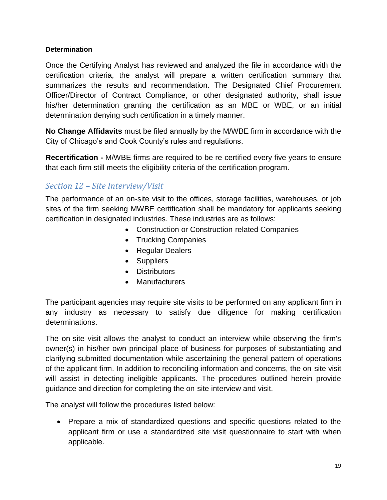#### **Determination**

Once the Certifying Analyst has reviewed and analyzed the file in accordance with the certification criteria, the analyst will prepare a written certification summary that summarizes the results and recommendation. The Designated Chief Procurement Officer/Director of Contract Compliance, or other designated authority, shall issue his/her determination granting the certification as an MBE or WBE, or an initial determination denying such certification in a timely manner.

**No Change Affidavits** must be filed annually by the M/WBE firm in accordance with the City of Chicago's and Cook County's rules and regulations.

**Recertification -** M/WBE firms are required to be re-certified every five years to ensure that each firm still meets the eligibility criteria of the certification program.

# <span id="page-20-0"></span>*Section 12 – Site Interview/Visit*

The performance of an on-site visit to the offices, storage facilities, warehouses, or job sites of the firm seeking MWBE certification shall be mandatory for applicants seeking certification in designated industries. These industries are as follows:

- Construction or Construction-related Companies
- Trucking Companies
- Regular Dealers
- Suppliers
- Distributors
- Manufacturers

The participant agencies may require site visits to be performed on any applicant firm in any industry as necessary to satisfy due diligence for making certification determinations.

The on-site visit allows the analyst to conduct an interview while observing the firm's owner(s) in his/her own principal place of business for purposes of substantiating and clarifying submitted documentation while ascertaining the general pattern of operations of the applicant firm. In addition to reconciling information and concerns, the on-site visit will assist in detecting ineligible applicants. The procedures outlined herein provide guidance and direction for completing the on-site interview and visit.

The analyst will follow the procedures listed below:

 Prepare a mix of standardized questions and specific questions related to the applicant firm or use a standardized site visit questionnaire to start with when applicable.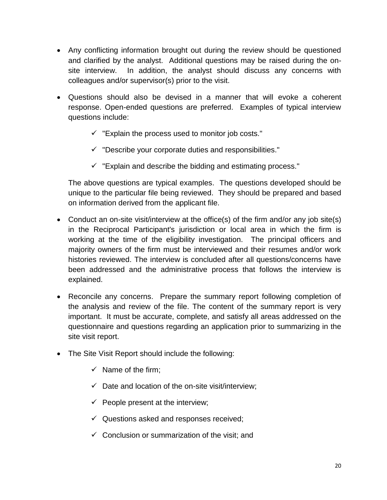- Any conflicting information brought out during the review should be questioned and clarified by the analyst. Additional questions may be raised during the onsite interview. In addition, the analyst should discuss any concerns with colleagues and/or supervisor(s) prior to the visit.
- Questions should also be devised in a manner that will evoke a coherent response. Open-ended questions are preferred. Examples of typical interview questions include:
	- $\checkmark$  "Explain the process used to monitor job costs."
	- $\checkmark$  "Describe your corporate duties and responsibilities."
	- $\checkmark$  "Explain and describe the bidding and estimating process."

The above questions are typical examples. The questions developed should be unique to the particular file being reviewed. They should be prepared and based on information derived from the applicant file.

- Conduct an on-site visit/interview at the office(s) of the firm and/or any job site(s) in the Reciprocal Participant's jurisdiction or local area in which the firm is working at the time of the eligibility investigation. The principal officers and majority owners of the firm must be interviewed and their resumes and/or work histories reviewed. The interview is concluded after all questions/concerns have been addressed and the administrative process that follows the interview is explained.
- Reconcile any concerns. Prepare the summary report following completion of the analysis and review of the file. The content of the summary report is very important. It must be accurate, complete, and satisfy all areas addressed on the questionnaire and questions regarding an application prior to summarizing in the site visit report.
- The Site Visit Report should include the following:
	- $\checkmark$  Name of the firm:
	- $\checkmark$  Date and location of the on-site visit/interview;
	- $\checkmark$  People present at the interview;
	- $\checkmark$  Questions asked and responses received;
	- $\checkmark$  Conclusion or summarization of the visit; and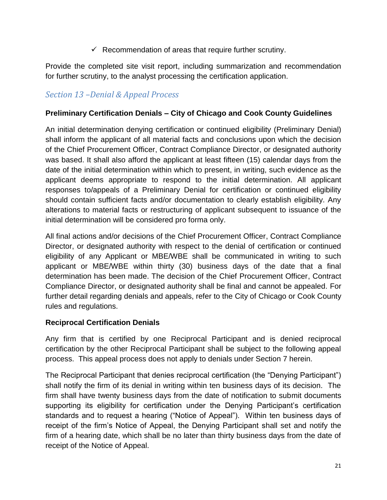$\checkmark$  Recommendation of areas that require further scrutiny.

Provide the completed site visit report, including summarization and recommendation for further scrutiny, to the analyst processing the certification application.

# <span id="page-22-0"></span>*Section 13 –Denial & Appeal Process*

#### **Preliminary Certification Denials – City of Chicago and Cook County Guidelines**

An initial determination denying certification or continued eligibility (Preliminary Denial) shall inform the applicant of all material facts and conclusions upon which the decision of the Chief Procurement Officer, Contract Compliance Director, or designated authority was based. It shall also afford the applicant at least fifteen (15) calendar days from the date of the initial determination within which to present, in writing, such evidence as the applicant deems appropriate to respond to the initial determination. All applicant responses to/appeals of a Preliminary Denial for certification or continued eligibility should contain sufficient facts and/or documentation to clearly establish eligibility. Any alterations to material facts or restructuring of applicant subsequent to issuance of the initial determination will be considered pro forma only.

All final actions and/or decisions of the Chief Procurement Officer, Contract Compliance Director, or designated authority with respect to the denial of certification or continued eligibility of any Applicant or MBE/WBE shall be communicated in writing to such applicant or MBE/WBE within thirty (30) business days of the date that a final determination has been made. The decision of the Chief Procurement Officer, Contract Compliance Director, or designated authority shall be final and cannot be appealed. For further detail regarding denials and appeals, refer to the City of Chicago or Cook County rules and regulations.

#### **Reciprocal Certification Denials**

Any firm that is certified by one Reciprocal Participant and is denied reciprocal certification by the other Reciprocal Participant shall be subject to the following appeal process. This appeal process does not apply to denials under Section 7 herein.

The Reciprocal Participant that denies reciprocal certification (the "Denying Participant") shall notify the firm of its denial in writing within ten business days of its decision. The firm shall have twenty business days from the date of notification to submit documents supporting its eligibility for certification under the Denying Participant's certification standards and to request a hearing ("Notice of Appeal"). Within ten business days of receipt of the firm's Notice of Appeal, the Denying Participant shall set and notify the firm of a hearing date, which shall be no later than thirty business days from the date of receipt of the Notice of Appeal.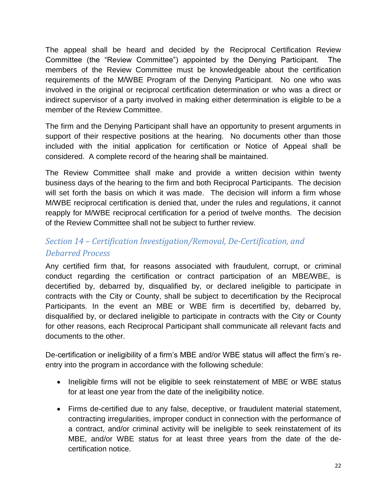The appeal shall be heard and decided by the Reciprocal Certification Review Committee (the "Review Committee") appointed by the Denying Participant. The members of the Review Committee must be knowledgeable about the certification requirements of the M/WBE Program of the Denying Participant. No one who was involved in the original or reciprocal certification determination or who was a direct or indirect supervisor of a party involved in making either determination is eligible to be a member of the Review Committee.

The firm and the Denying Participant shall have an opportunity to present arguments in support of their respective positions at the hearing. No documents other than those included with the initial application for certification or Notice of Appeal shall be considered. A complete record of the hearing shall be maintained.

The Review Committee shall make and provide a written decision within twenty business days of the hearing to the firm and both Reciprocal Participants. The decision will set forth the basis on which it was made. The decision will inform a firm whose M/WBE reciprocal certification is denied that, under the rules and regulations, it cannot reapply for M/WBE reciprocal certification for a period of twelve months. The decision of the Review Committee shall not be subject to further review.

# <span id="page-23-0"></span>*Section 14 – Certification Investigation/Removal, De-Certification, and Debarred Process*

Any certified firm that, for reasons associated with fraudulent, corrupt, or criminal conduct regarding the certification or contract participation of an MBE/WBE, is decertified by, debarred by, disqualified by, or declared ineligible to participate in contracts with the City or County, shall be subject to decertification by the Reciprocal Participants. In the event an MBE or WBE firm is decertified by, debarred by, disqualified by, or declared ineligible to participate in contracts with the City or County for other reasons, each Reciprocal Participant shall communicate all relevant facts and documents to the other.

De-certification or ineligibility of a firm's MBE and/or WBE status will affect the firm's reentry into the program in accordance with the following schedule:

- Ineligible firms will not be eligible to seek reinstatement of MBE or WBE status for at least one year from the date of the ineligibility notice.
- Firms de-certified due to any false, deceptive, or fraudulent material statement, contracting irregularities, improper conduct in connection with the performance of a contract, and/or criminal activity will be ineligible to seek reinstatement of its MBE, and/or WBE status for at least three years from the date of the decertification notice.